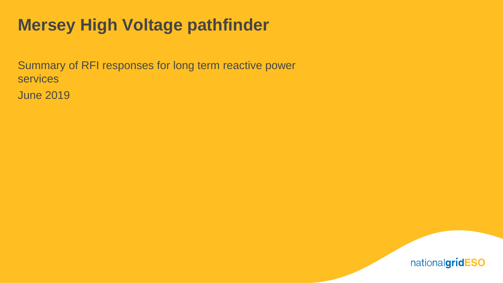## **Mersey High Voltage pathfinder**

Summary of RFI responses for long term reactive power services

June 2019

nationalgridESO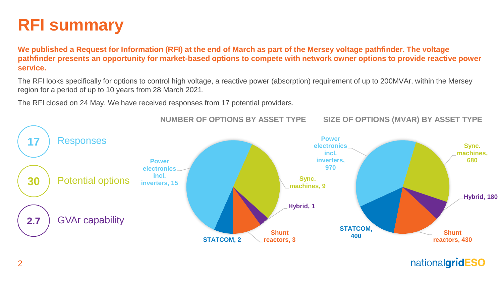

**We published a Request for Information (RFI) at the end of March as part of the Mersey voltage pathfinder. The voltage pathfinder presents an opportunity for market-based options to compete with network owner options to provide reactive power service.** 

The RFI looks specifically for options to control high voltage, a reactive power (absorption) requirement of up to 200MVAr, within the Mersey region for a period of up to 10 years from 28 March 2021.

The RFI closed on 24 May. We have received responses from 17 potential providers.



**NUMBER OF OPTIONS BY ASSET TYPE**

**SIZE OF OPTIONS (MVAR) BY ASSET TYPE**

nationalgridESO